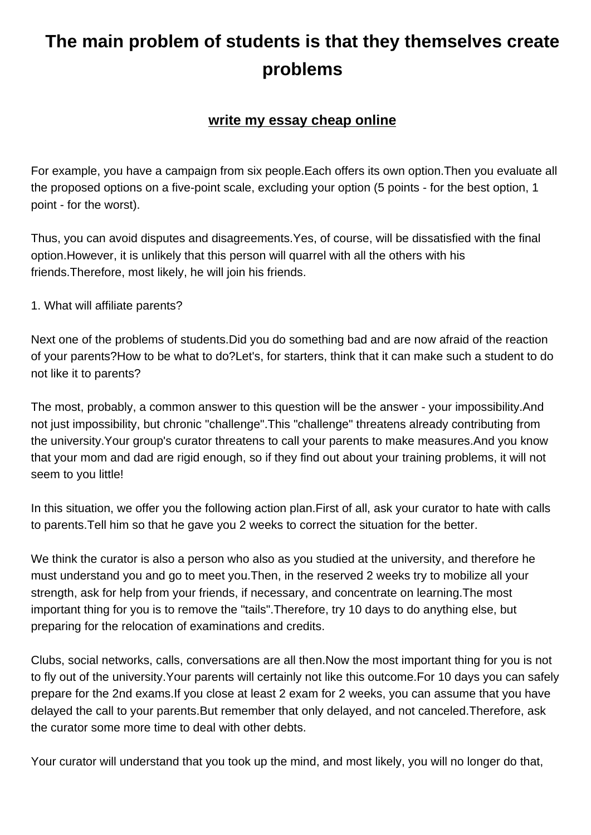## **problems**

**The main problem of students is that they themselves create**

## **write my essay cheap online**

For example, you have a campai[gn from six people.Each offers its ow](https://www.buyessayscheap.com/write-my-essay-for-me-cheap.html)n option.Then you evaluate all the proposed options on a five-point scale, excluding your option (5 points - for the best option, 1 point - for the worst).

Thus, you can avoid disputes and disagreements.Yes, of course, will be dissatisfied with the final option.However, it is unlikely that this person will quarrel with all the others with his friends.Therefore, most likely, he will join his friends.

1. What will affiliate parents?

Next one of the problems of students.Did you do something bad and are now afraid of the reaction of your parents?How to be what to do?Let's, for starters, think that it can make such a student to do not like it to parents?

The most, probably, a common answer to this question will be the answer - your impossibility.And not just impossibility, but chronic "challenge".This "challenge" threatens already contributing from the university.Your group's curator threatens to call your parents to make measures.And you know that your mom and dad are rigid enough, so if they find out about your training problems, it will not seem to you little!

In this situation, we offer you the following action plan.First of all, ask your curator to hate with calls to parents.Tell him so that he gave you 2 weeks to correct the situation for the better.

We think the curator is also a person who also as you studied at the university, and therefore he must understand you and go to meet you.Then, in the reserved 2 weeks try to mobilize all your strength, ask for help from your friends, if necessary, and concentrate on learning.The most important thing for you is to remove the "tails".Therefore, try 10 days to do anything else, but preparing for the relocation of examinations and credits.

Clubs, social networks, calls, conversations are all then.Now the most important thing for you is not to fly out of the university.Your parents will certainly not like this outcome.For 10 days you can safely prepare for the 2nd exams.If you close at least 2 exam for 2 weeks, you can assume that you have delayed the call to your parents.But remember that only delayed, and not canceled.Therefore, ask the curator some more time to deal with other debts.

Your curator will understand that you took up the mind, and most likely, you will no longer do that,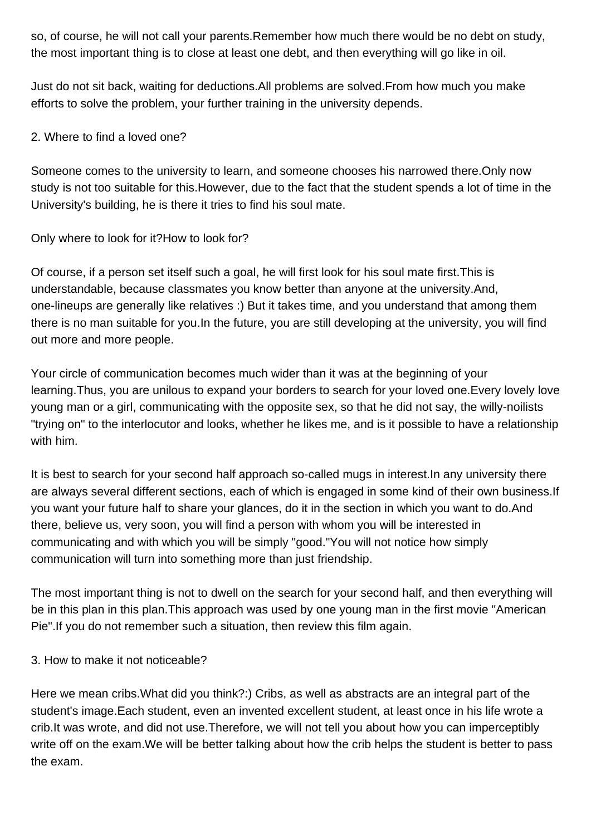so, of course, he will not call your parents.Remember how much there would be no debt on study, the most important thing is to close at least one debt, and then everything will go like in oil.

Just do not sit back, waiting for deductions.All problems are solved.From how much you make efforts to solve the problem, your further training in the university depends.

2. Where to find a loved one?

Someone comes to the university to learn, and someone chooses his narrowed there.Only now study is not too suitable for this.However, due to the fact that the student spends a lot of time in the University's building, he is there it tries to find his soul mate.

Only where to look for it?How to look for?

Of course, if a person set itself such a goal, he will first look for his soul mate first.This is understandable, because classmates you know better than anyone at the university.And, one-lineups are generally like relatives :) But it takes time, and you understand that among them there is no man suitable for you.In the future, you are still developing at the university, you will find out more and more people.

Your circle of communication becomes much wider than it was at the beginning of your learning. Thus, you are unilous to expand your borders to search for your loved one. Every lovely love young man or a girl, communicating with the opposite sex, so that he did not say, the willy-noilists "trying on" to the interlocutor and looks, whether he likes me, and is it possible to have a relationship with him.

It is best to search for your second half approach so-called mugs in interest.In any university there are always several different sections, each of which is engaged in some kind of their own business.If you want your future half to share your glances, do it in the section in which you want to do.And there, believe us, very soon, you will find a person with whom you will be interested in communicating and with which you will be simply "good."You will not notice how simply communication will turn into something more than just friendship.

The most important thing is not to dwell on the search for your second half, and then everything will be in this plan in this plan.This approach was used by one young man in the first movie "American Pie".If you do not remember such a situation, then review this film again.

3. How to make it not noticeable?

Here we mean cribs.What did you think?:) Cribs, as well as abstracts are an integral part of the student's image.Each student, even an invented excellent student, at least once in his life wrote a crib.It was wrote, and did not use.Therefore, we will not tell you about how you can imperceptibly write off on the exam.We will be better talking about how the crib helps the student is better to pass the exam.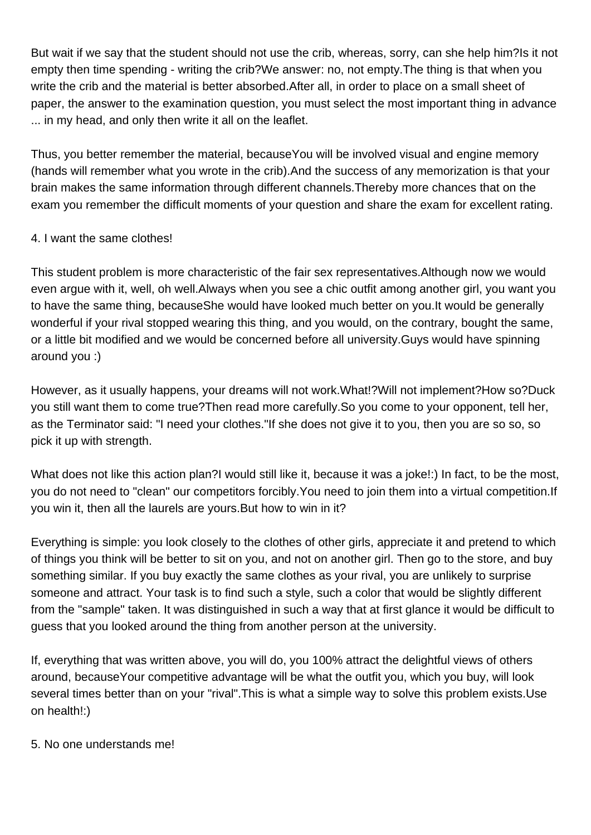But wait if we say that the student should not use the crib, whereas, sorry, can she help him?Is it not empty then time spending - writing the crib?We answer: no, not empty.The thing is that when you write the crib and the material is better absorbed.After all, in order to place on a small sheet of paper, the answer to the examination question, you must select the most important thing in advance ... in my head, and only then write it all on the leaflet.

Thus, you better remember the material, becauseYou will be involved visual and engine memory (hands will remember what you wrote in the crib).And the success of any memorization is that your brain makes the same information through different channels.Thereby more chances that on the exam you remember the difficult moments of your question and share the exam for excellent rating.

## 4. I want the same clothes!

This student problem is more characteristic of the fair sex representatives.Although now we would even argue with it, well, oh well.Always when you see a chic outfit among another girl, you want you to have the same thing, becauseShe would have looked much better on you.It would be generally wonderful if your rival stopped wearing this thing, and you would, on the contrary, bought the same, or a little bit modified and we would be concerned before all university.Guys would have spinning around you :)

However, as it usually happens, your dreams will not work.What!?Will not implement?How so?Duck you still want them to come true?Then read more carefully.So you come to your opponent, tell her, as the Terminator said: "I need your clothes."If she does not give it to you, then you are so so, so pick it up with strength.

What does not like this action plan?I would still like it, because it was a joke!:) In fact, to be the most, you do not need to "clean" our competitors forcibly.You need to join them into a virtual competition.If you win it, then all the laurels are yours.But how to win in it?

Everything is simple: you look closely to the clothes of other girls, appreciate it and pretend to which of things you think will be better to sit on you, and not on another girl. Then go to the store, and buy something similar. If you buy exactly the same clothes as your rival, you are unlikely to surprise someone and attract. Your task is to find such a style, such a color that would be slightly different from the "sample" taken. It was distinguished in such a way that at first glance it would be difficult to guess that you looked around the thing from another person at the university.

If, everything that was written above, you will do, you 100% attract the delightful views of others around, becauseYour competitive advantage will be what the outfit you, which you buy, will look several times better than on your "rival".This is what a simple way to solve this problem exists.Use on health!:)

5. No one understands me!